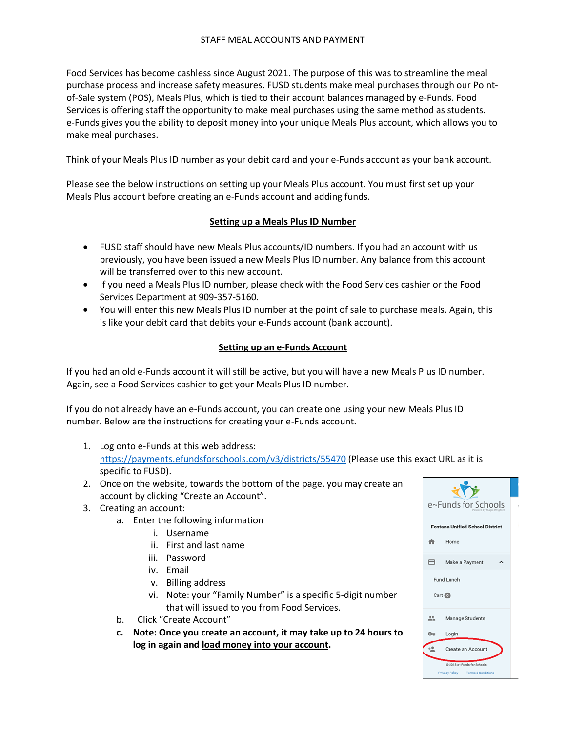### STAFF MEAL ACCOUNTS AND PAYMENT

Food Services has become cashless since August 2021. The purpose of this was to streamline the meal purchase process and increase safety measures. FUSD students make meal purchases through our Pointof-Sale system (POS), Meals Plus, which is tied to their account balances managed by e-Funds. Food Services is offering staff the opportunity to make meal purchases using the same method as students. e-Funds gives you the ability to deposit money into your unique Meals Plus account, which allows you to make meal purchases.

Think of your Meals Plus ID number as your debit card and your e-Funds account as your bank account.

Please see the below instructions on setting up your Meals Plus account. You must first set up your Meals Plus account before creating an e-Funds account and adding funds.

## **Setting up a Meals Plus ID Number**

- FUSD staff should have new Meals Plus accounts/ID numbers. If you had an account with us previously, you have been issued a new Meals Plus ID number. Any balance from this account will be transferred over to this new account.
- If you need a Meals Plus ID number, please check with the Food Services cashier or the Food Services Department at 909-357-5160.
- You will enter this new Meals Plus ID number at the point of sale to purchase meals. Again, this is like your debit card that debits your e-Funds account (bank account).

## **Setting up an e-Funds Account**

If you had an old e-Funds account it will still be active, but you will have a new Meals Plus ID number. Again, see a Food Services cashier to get your Meals Plus ID number.

If you do not already have an e-Funds account, you can create one using your new Meals Plus ID number. Below are the instructions for creating your e-Funds account.

- 1. Log onto e-Funds at this web address: <https://payments.efundsforschools.com/v3/districts/55470> (Please use this exact URL as it is specific to FUSD).
- 2. Once on the website, towards the bottom of the page, you may create an account by clicking "Create an Account".
- 3. Creating an account:
	- a. Enter the following information
		- i. Username
		- ii. First and last name
		- iii. Password
		- iv. Email
		- v. Billing address
		- vi. Note: your "Family Number" is a specific 5-digit number that will issued to you from Food Services.
	- b. Click "Create Account"
	- **c. Note: Once you create an account, it may take up to 24 hours to log in again and load money into your account.**

| e~Funds for Schools                    |                                                               |  |  |  |
|----------------------------------------|---------------------------------------------------------------|--|--|--|
| <b>Fontana Unified School District</b> |                                                               |  |  |  |
| A                                      | Home                                                          |  |  |  |
| 6                                      | Make a Payment                                                |  |  |  |
| Fund Lunch                             |                                                               |  |  |  |
| Cart <sup>1</sup>                      |                                                               |  |  |  |
|                                        | Manage Students                                               |  |  |  |
|                                        | Login                                                         |  |  |  |
|                                        | Create an Account                                             |  |  |  |
|                                        | @ 2018 e~Funds for Schools<br>and Baltimore, Thomas & Bandist |  |  |  |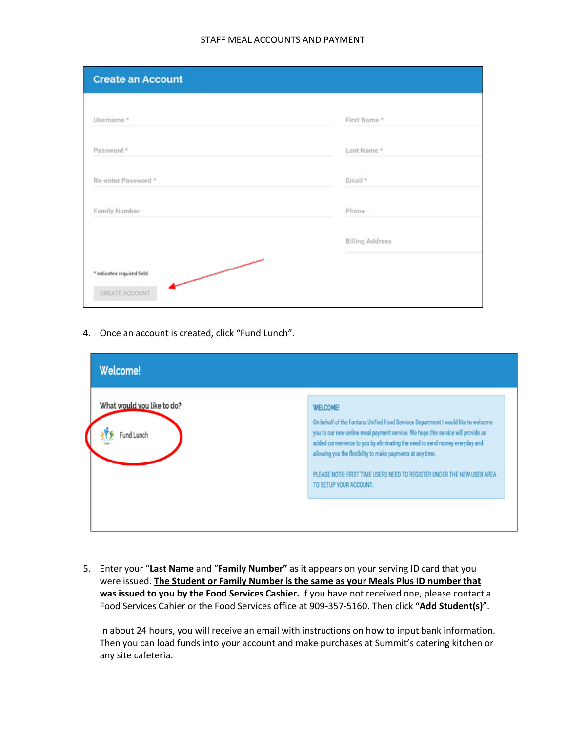#### STAFF MEAL ACCOUNTS AND PAYMENT

| <b>Create an Account</b>        |                        |
|---------------------------------|------------------------|
| Usemame *                       | First Name*            |
| Password *                      | Last Name *            |
| Re-enter Password *             | Email *                |
| Family Number                   | Phone                  |
|                                 | <b>Billing Address</b> |
| 一<br>* indicates required field |                        |
| CREATE ACCOUNT                  |                        |

4. Once an account is created, click "Fund Lunch".

| Welcome!                                 |                                                                                                                                                                                                                                                                                                                                                                                                                                           |
|------------------------------------------|-------------------------------------------------------------------------------------------------------------------------------------------------------------------------------------------------------------------------------------------------------------------------------------------------------------------------------------------------------------------------------------------------------------------------------------------|
| What would you like to do?<br>Fund Lunch | <b>WELCOME!</b><br>On behalf of the Fontana Unified Food Services Department I would like to welcome<br>you to our new online meal payment service. We hope this service will provide an<br>added convenience to you by eliminating the need to send money everyday and<br>allowing you the flexibility to make payments at any time.<br>PLEASE NOTE: FIRST TIME USERS NEED TO REGISTER UNDER THE NEW USER AREA<br>TO SETUP YOUR ACCOUNT. |

5. Enter your "**Last Name** and "**Family Number"** as it appears on your serving ID card that you were issued. **The Student or Family Number is the same as your Meals Plus ID number that was issued to you by the Food Services Cashier.** If you have not received one, please contact a Food Services Cahier or the Food Services office at 909-357-5160. Then click "**Add Student(s)**".

In about 24 hours, you will receive an email with instructions on how to input bank information. Then you can load funds into your account and make purchases at Summit's catering kitchen or any site cafeteria.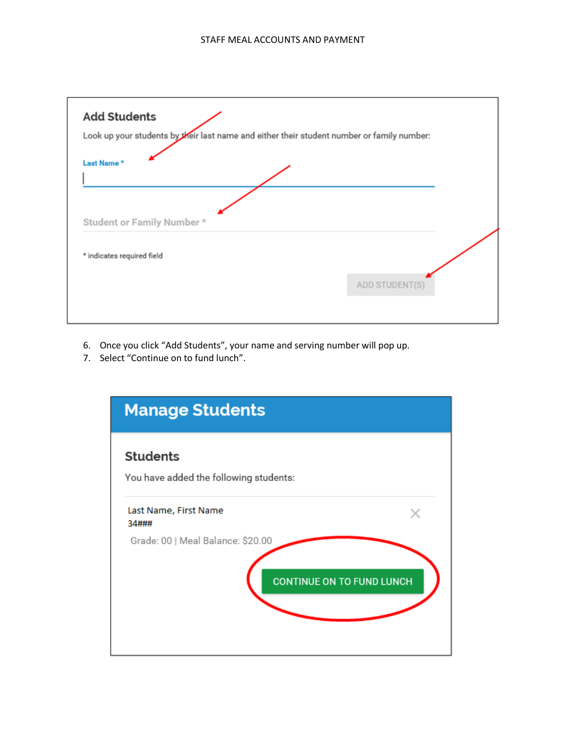

- 6. Once you click "Add Students", your name and serving number will pop up.
- 7. Select "Continue on to fund lunch".

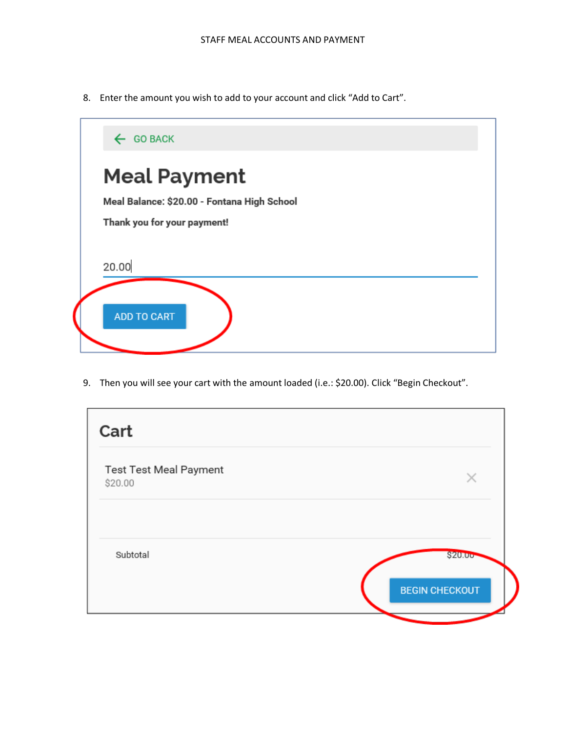8. Enter the amount you wish to add to your account and click "Add to Cart".



9. Then you will see your cart with the amount loaded (i.e.: \$20.00). Click "Begin Checkout".

| Cart                              |                       |
|-----------------------------------|-----------------------|
| Test Test Meal Payment<br>\$20.00 | X                     |
| Subtotal                          | \$20.00               |
|                                   | <b>BEGIN CHECKOUT</b> |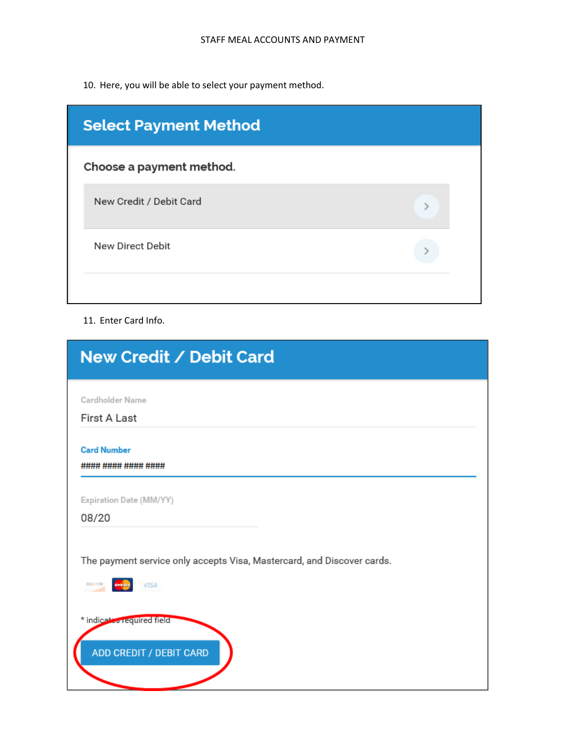10. Here, you will be able to select your payment method.

| <b>Select Payment Method</b> |  |  |
|------------------------------|--|--|
| Choose a payment method.     |  |  |
| New Credit / Debit Card      |  |  |
| New Direct Debit             |  |  |
|                              |  |  |

# 11. Enter Card Info.

| New Credit / Debit Card                                                         |
|---------------------------------------------------------------------------------|
| Cardholder Name<br><b>First A Last</b>                                          |
| <b>Card Number</b>                                                              |
| #### #### #### ####<br>Expiration Date (MM/YY)                                  |
| 08/20<br>The payment service only accepts Visa, Mastercard, and Discover cards. |
| <b>VISA</b><br>DISCRATER                                                        |
| * indicates required field<br><b>ADD CREDIT / DEBIT CARD</b>                    |
|                                                                                 |